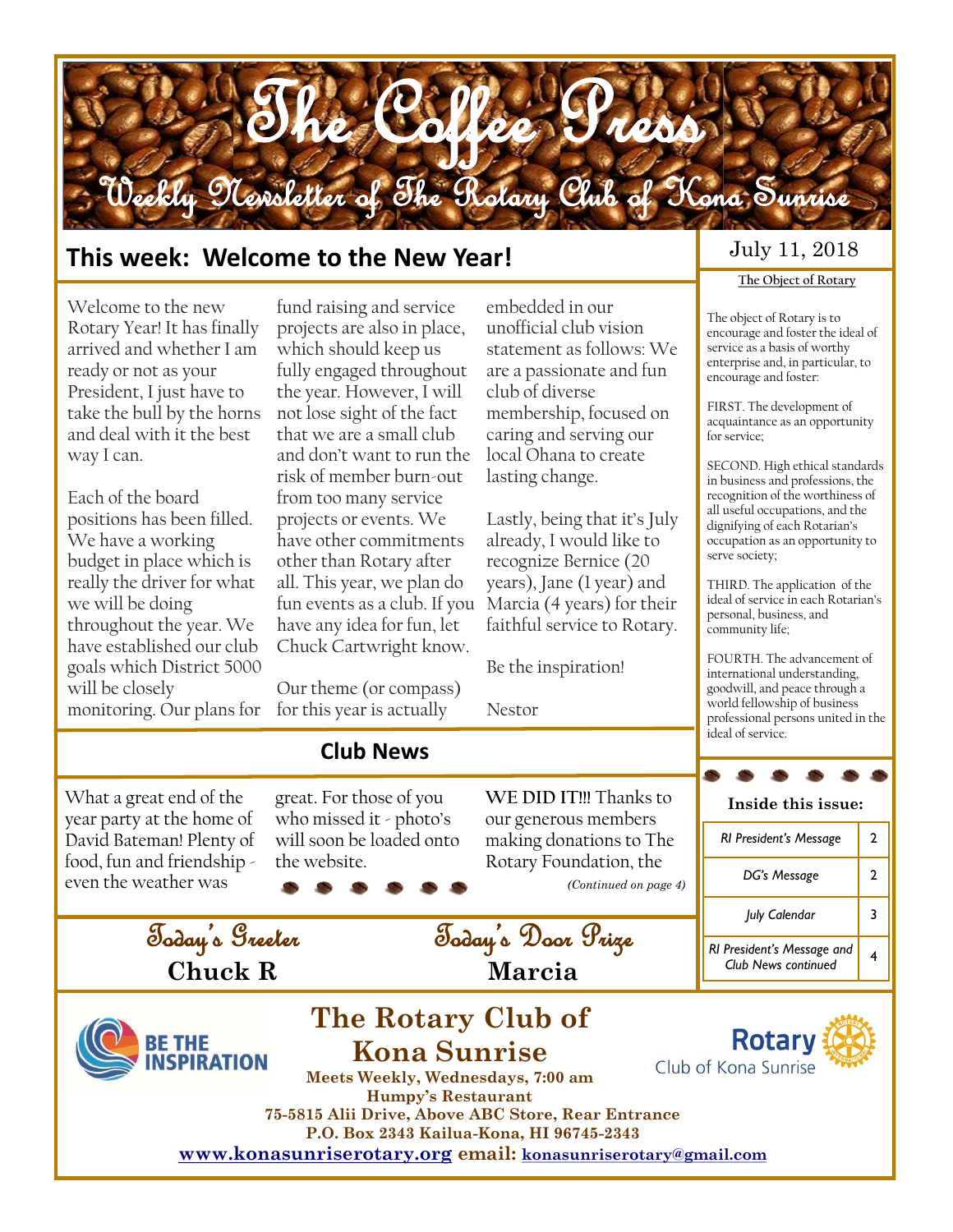

#### **This week: Welcome to the New Year!**

Welcome to the new Rotary Year! It has finally arrived and whether I am ready or not as your President, I just have to take the bull by the horns and deal with it the best way I can.

Each of the board positions has been filled. We have a working budget in place which is really the driver for what we will be doing throughout the year. We have established our club goals which District 5000 will be closely monitoring. Our plans for for this year is actually

What a great end of the year party at the home of David Bateman! Plenty of food, fun and friendship even the weather was

fund raising and service projects are also in place, which should keep us fully engaged throughout the year. However, I will not lose sight of the fact that we are a small club and don't want to run the risk of member burn-out from too many service projects or events. We have other commitments other than Rotary after all. This year, we plan do fun events as a club. If you have any idea for fun, let Chuck Cartwright know.

Our theme (or compass)

**Club News**

great. For those of you who missed it - photo's will soon be loaded onto

the website.

embedded in our unofficial club vision statement as follows: We are a passionate and fun club of diverse membership, focused on caring and serving our local Ohana to create lasting change.

Lastly, being that it's July already, I would like to recognize Bernice (20 years), Jane (1 year) and Marcia (4 years) for their faithful service to Rotary.

Be the inspiration!

**WE DID IT!!!** Thanks to our generous members making donations to The Rotary Foundation, the

*(Continued on page 4)*

Nestor

Today's Door Prize

**Marcia**

#### July 11, 2018

#### **The Object of Rotary**

The object of Rotary is to encourage and foster the ideal of service as a basis of worthy enterprise and, in particular, to encourage and foster:

FIRST. The development of acquaintance as an opportunity for service;

SECOND. High ethical standards in business and professions, the recognition of the worthiness of all useful occupations, and the dignifying of each Rotarian's occupation as an opportunity to serve society;

THIRD. The application of the ideal of service in each Rotarian's personal, business, and community life;

FOURTH. The advancement of international understanding, goodwill, and peace through a world fellowship of business professional persons united in the ideal of service.

**Inside this issue:**

*RI President's Message* 2 *DG's Message* 2 *July Calendar* 3 *RI President's Message and* 

*Club News continued* <sup>4</sup>

Today's Greeter **Chuck R** 



# **The Rotary Club of Kona Sunrise**



**Meets Weekly, Wednesdays, 7:00 am Humpy's Restaurant 75-5815 Alii Drive, Above ABC Store, Rear Entrance P.O. Box 2343 Kailua-Kona, HI 96745-2343**

**[www.konasunriserotary.org](www.konasunriserotary.orgC:/Documents%20and%20Settings/bfraser/My%20Documents/Bev) email: [konasunriserotary@gmail.com](mailto:konasunriserotary@gmail.com)**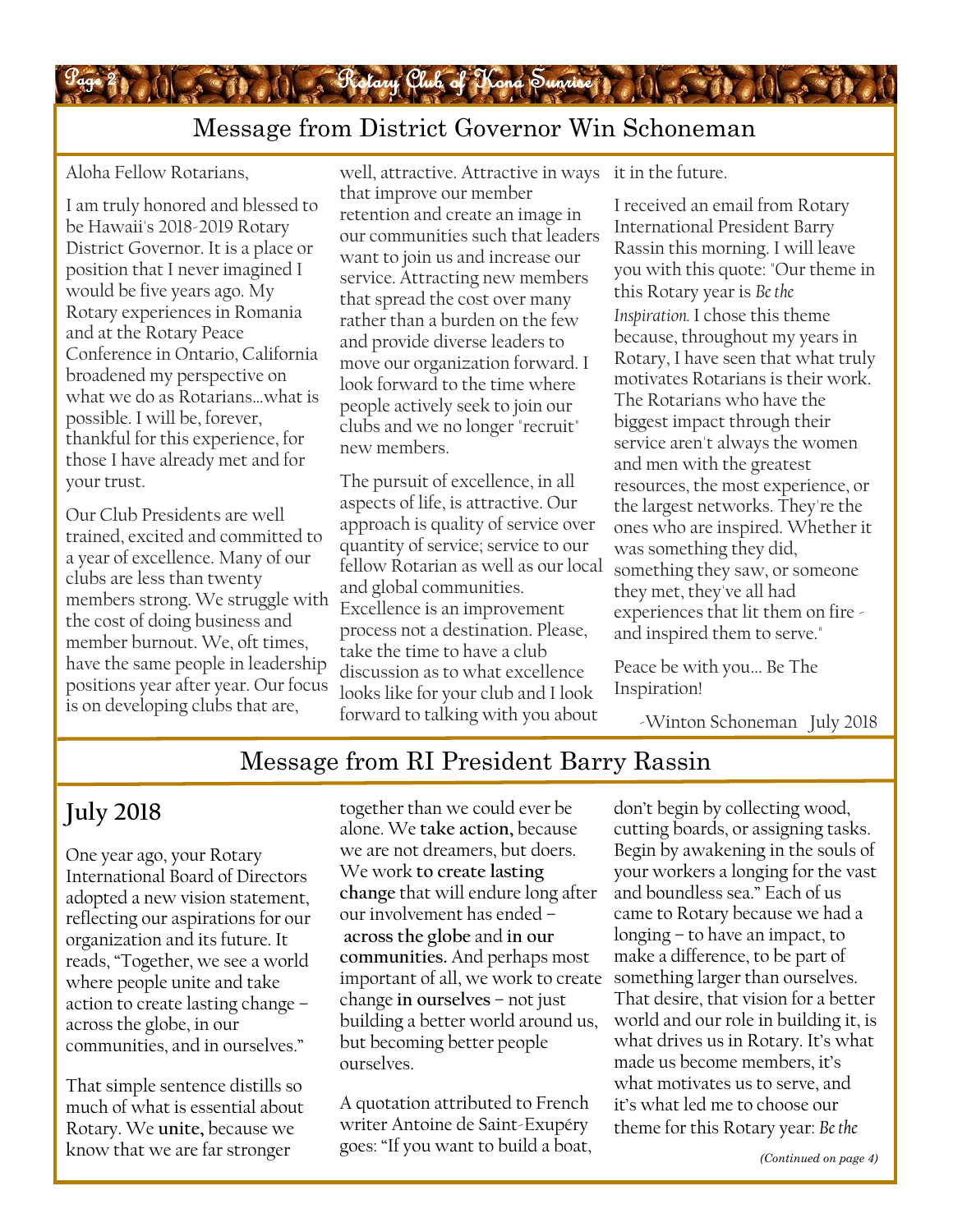

## Message from District Governor Win Schoneman

Aloha Fellow Rotarians,

I am truly honored and blessed to be Hawaii's 2018-2019 Rotary District Governor. It is a place or position that I never imagined I would be five years ago. My Rotary experiences in Romania and at the Rotary Peace Conference in Ontario, California broadened my perspective on what we do as Rotarians…what is possible. I will be, forever, thankful for this experience, for those I have already met and for your trust.

Our Club Presidents are well trained, excited and committed to a year of excellence. Many of our clubs are less than twenty members strong. We struggle with the cost of doing business and member burnout. We, oft times, have the same people in leadership positions year after year. Our focus is on developing clubs that are,

well, attractive. Attractive in ways it in the future. that improve our member retention and create an image in our communities such that leaders want to join us and increase our service. Attracting new members that spread the cost over many rather than a burden on the few and provide diverse leaders to move our organization forward. I look forward to the time where people actively seek to join our clubs and we no longer "recruit" new members.

The pursuit of excellence, in all aspects of life, is attractive. Our approach is quality of service over quantity of service; service to our fellow Rotarian as well as our local and global communities. Excellence is an improvement process not a destination. Please, take the time to have a club discussion as to what excellence looks like for your club and I look forward to talking with you about

I received an email from Rotary International President Barry Rassin this morning. I will leave you with this quote: "Our theme in this Rotary year is *Be the Inspiration.* I chose this theme because, throughout my years in Rotary, I have seen that what truly motivates Rotarians is their work. The Rotarians who have the biggest impact through their service aren't always the women and men with the greatest resources, the most experience, or the largest networks. They're the ones who are inspired. Whether it was something they did, something they saw, or someone they met, they've all had experiences that lit them on fire and inspired them to serve."

Peace be with you... Be The Inspiration!

-Winton Schoneman July 2018

#### Message from RI President Barry Rassin

## **July 2018**

One year ago, your Rotary International Board of Directors adopted a new vision statement, reflecting our aspirations for our organization and its future. It reads, "Together, we see a world where people unite and take action to create lasting change – across the globe, in our communities, and in ourselves."

That simple sentence distills so much of what is essential about Rotary. We **unite,** because we know that we are far stronger

together than we could ever be alone. We **take action,** because we are not dreamers, but doers. We work **to create lasting change** that will endure long after our involvement has ended – **across the globe** and **in our communities.** And perhaps most important of all, we work to create change **in ourselves** – not just building a better world around us, but becoming better people ourselves.

A quotation attributed to French writer Antoine de Saint-Exupéry goes: "If you want to build a boat, don't begin by collecting wood, cutting boards, or assigning tasks. Begin by awakening in the souls of your workers a longing for the vast and boundless sea." Each of us came to Rotary because we had a longing – to have an impact, to make a difference, to be part of something larger than ourselves. That desire, that vision for a better world and our role in building it, is what drives us in Rotary. It's what made us become members, it's what motivates us to serve, and it's what led me to choose our theme for this Rotary year: *Be the*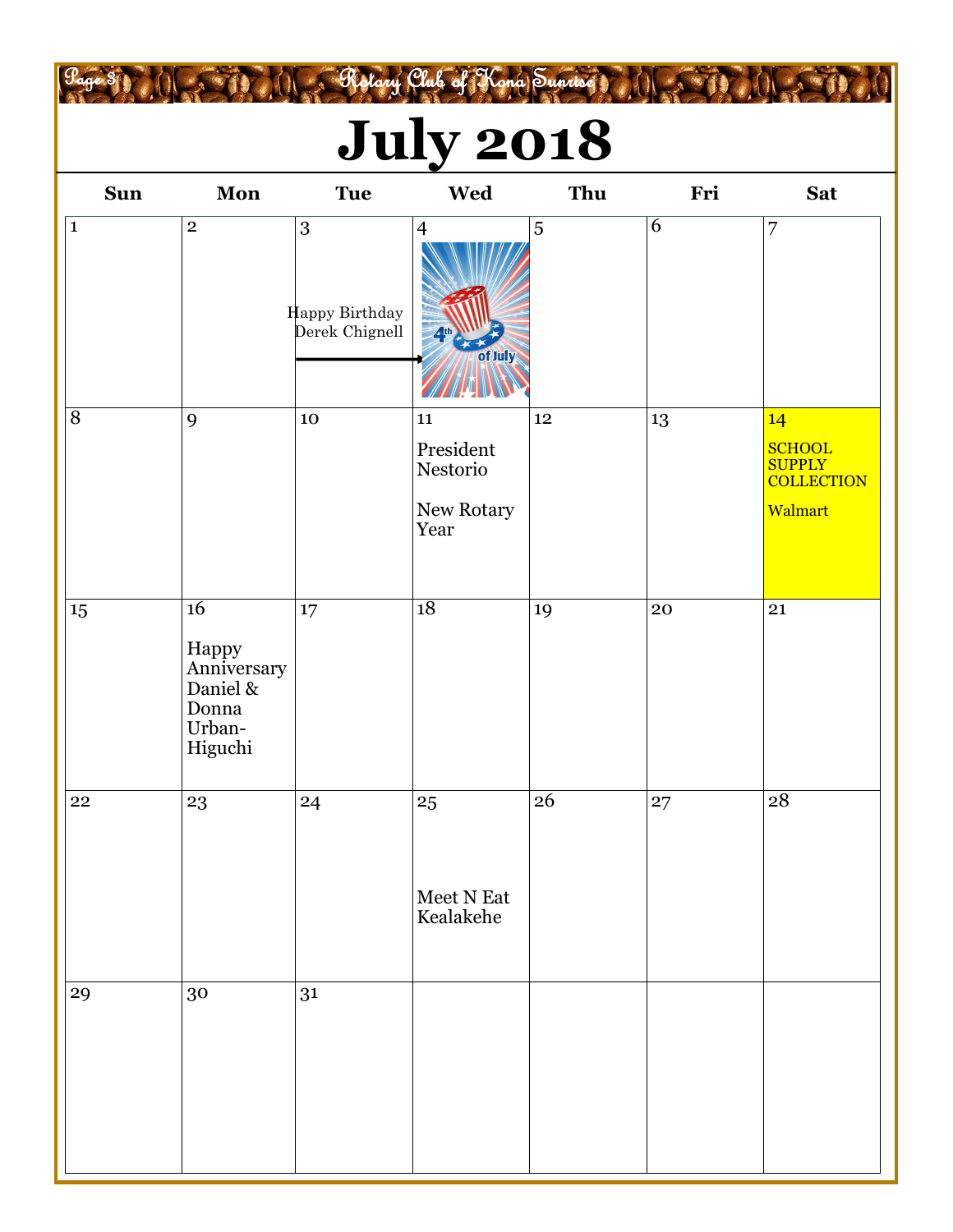# **July 2018**

Page 3 R. O. S. Rotary Club of Kona Sunrise ( O. S. R. O. S. R. A)

| <b>Sun</b>  | Mon                                                                  | <b>Tue</b>                                           | Wed                                                       | Thu | Fri            | <b>Sat</b>                                                           |
|-------------|----------------------------------------------------------------------|------------------------------------------------------|-----------------------------------------------------------|-----|----------------|----------------------------------------------------------------------|
| $\mathbf 1$ | $\bf 2$                                                              | $\boldsymbol{3}$<br>Happy Birthday<br>Derek Chignell | $\overline{4}$<br>4 <sup>th</sup><br>of July              | 5   | $\overline{6}$ | $\overline{7}$                                                       |
| $8\,$       | 9                                                                    | $10\,$                                               | ${\bf 11}$<br>President<br>Nestorio<br>New Rotary<br>Year | 12  | 13             | 14<br><b>SCHOOL</b><br><b>SUPPLY</b><br><b>COLLECTION</b><br>Walmart |
| 15          | 16<br>Happy<br>Anniversary<br>Daniel &<br>Donna<br>Urban-<br>Higuchi | $17\,$                                               | 18                                                        | 19  | 20             | 21                                                                   |
| 22          | 23                                                                   | 24                                                   | 25<br>Meet N Eat<br>Kealakehe                             | 26  | 27             | 28                                                                   |
| 29          | 30                                                                   | 31                                                   |                                                           |     |                |                                                                      |